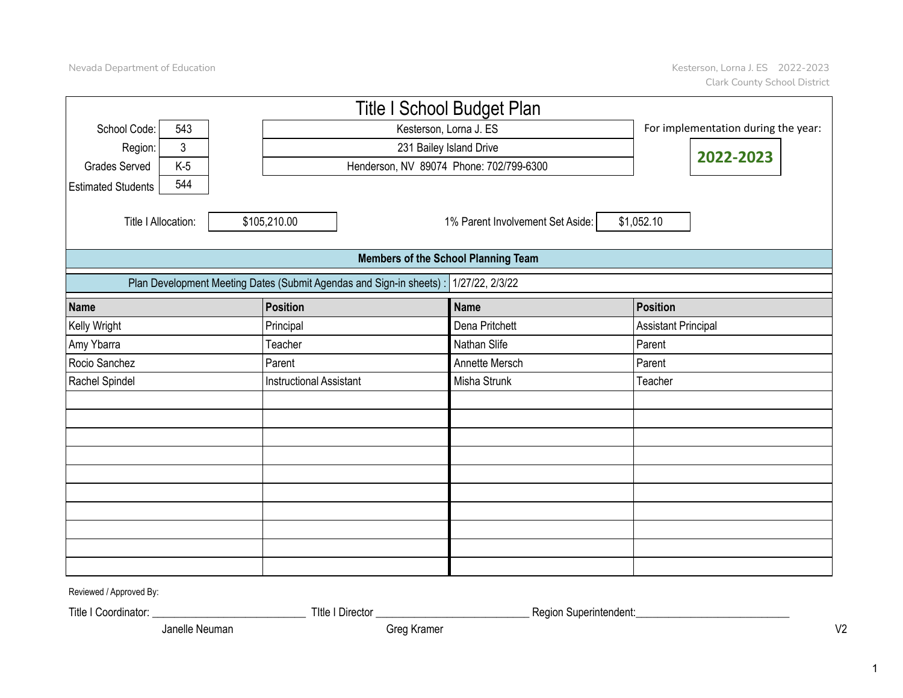|                           |                |                                                                      | <b>Title I School Budget Plan</b>          |                                     |
|---------------------------|----------------|----------------------------------------------------------------------|--------------------------------------------|-------------------------------------|
| School Code:              | 543            |                                                                      | Kesterson, Lorna J. ES                     | For implementation during the year: |
| Region:                   | $\mathfrak{Z}$ |                                                                      | 231 Bailey Island Drive                    |                                     |
| <b>Grades Served</b>      | $K-5$          |                                                                      | Henderson, NV 89074 Phone: 702/799-6300    | 2022-2023                           |
| <b>Estimated Students</b> | 544            |                                                                      |                                            |                                     |
| Title I Allocation:       |                | \$105,210.00                                                         | 1% Parent Involvement Set Aside:           | \$1,052.10                          |
|                           |                |                                                                      | <b>Members of the School Planning Team</b> |                                     |
|                           |                | Plan Development Meeting Dates (Submit Agendas and Sign-in sheets) : | 1/27/22, 2/3/22                            |                                     |
| Name                      |                | <b>Position</b>                                                      | <b>Name</b>                                | <b>Position</b>                     |
| Kelly Wright              |                | Principal                                                            | Dena Pritchett                             | <b>Assistant Principal</b>          |
| Amy Ybarra                |                | Teacher                                                              | Nathan Slife                               | Parent                              |
| Rocio Sanchez             |                | Parent                                                               | Annette Mersch                             | Parent                              |
| Rachel Spindel            |                | <b>Instructional Assistant</b>                                       | Misha Strunk                               | Teacher                             |
|                           |                |                                                                      |                                            |                                     |
|                           |                |                                                                      |                                            |                                     |
|                           |                |                                                                      |                                            |                                     |
|                           |                |                                                                      |                                            |                                     |
|                           |                |                                                                      |                                            |                                     |
|                           |                |                                                                      |                                            |                                     |
|                           |                |                                                                      |                                            |                                     |
|                           |                |                                                                      |                                            |                                     |
|                           |                |                                                                      |                                            |                                     |
|                           |                |                                                                      |                                            |                                     |

Reviewed / Approved By:

Title I Coordinator: \_\_\_\_\_\_\_\_\_\_\_\_\_\_\_\_\_\_\_\_\_\_\_\_\_\_\_\_ TItle I Director \_\_\_\_\_\_\_\_\_\_\_\_\_\_\_\_\_\_\_\_\_\_\_\_\_\_\_\_ Region Superintendent:\_\_\_\_\_\_\_\_\_\_\_\_\_\_\_\_\_\_\_\_\_\_\_\_\_\_\_\_

Michelle McIntosh Greg Kramer Rebecca Kaatz Janelle Neuman Greg Kramer V2

1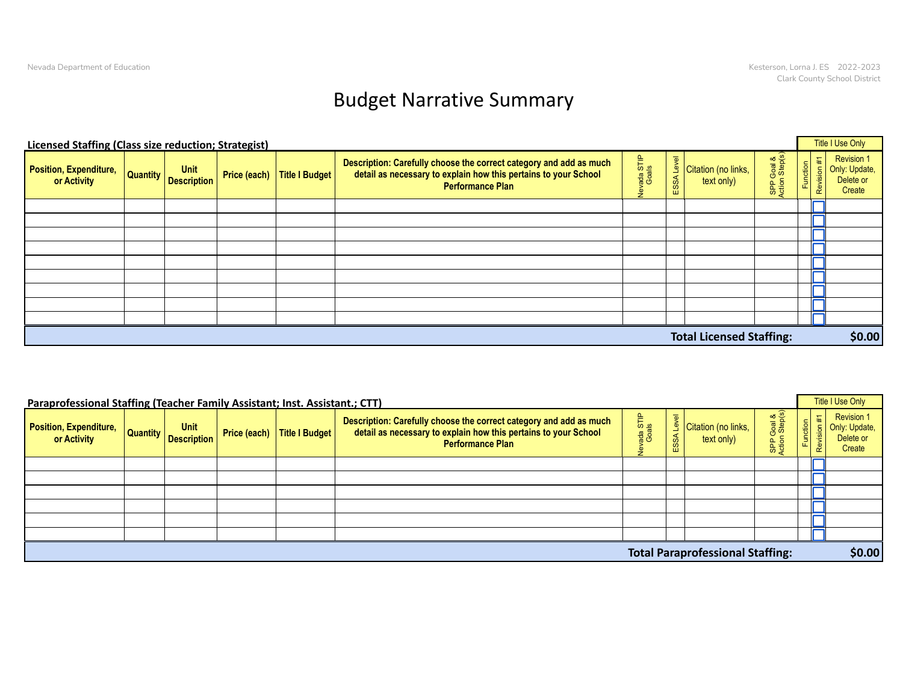## Budget Narrative Summary

| <b>Licensed Staffing (Class size reduction; Strategist)</b> |                                       |              |                |                                                                                                                                                                  |                      |                   |                                   |                              |                               | Title I Use Only                                          |
|-------------------------------------------------------------|---------------------------------------|--------------|----------------|------------------------------------------------------------------------------------------------------------------------------------------------------------------|----------------------|-------------------|-----------------------------------|------------------------------|-------------------------------|-----------------------------------------------------------|
| Position, Expenditure,<br>or Activity                       | <b>Unit</b><br>Quantity   Description | Price (each) | Title I Budget | Description: Carefully choose the correct category and add as much<br>detail as necessary to explain how this pertains to your School<br><b>Performance Plan</b> | Nevada STIP<br>Goals | Level<br>SSA<br>Ш | Citation (no links,<br>text only) | SPP Goal &<br>Action Step(s) | 军<br>Function<br><b>Revis</b> | <b>Revision 1</b><br>Only: Update,<br>Delete or<br>Create |
|                                                             |                                       |              |                |                                                                                                                                                                  |                      |                   |                                   |                              |                               |                                                           |
|                                                             |                                       |              |                |                                                                                                                                                                  |                      |                   |                                   |                              |                               |                                                           |
|                                                             |                                       |              |                |                                                                                                                                                                  |                      |                   |                                   |                              |                               |                                                           |
|                                                             |                                       |              |                |                                                                                                                                                                  |                      |                   |                                   |                              |                               |                                                           |
|                                                             |                                       |              |                |                                                                                                                                                                  |                      |                   |                                   |                              |                               |                                                           |
|                                                             |                                       |              |                |                                                                                                                                                                  |                      |                   |                                   |                              |                               |                                                           |
|                                                             |                                       |              |                |                                                                                                                                                                  |                      |                   |                                   |                              |                               |                                                           |
|                                                             |                                       |              |                |                                                                                                                                                                  |                      |                   |                                   |                              |                               |                                                           |
|                                                             |                                       |              |                |                                                                                                                                                                  |                      |                   |                                   |                              |                               |                                                           |
|                                                             |                                       |              |                |                                                                                                                                                                  |                      |                   | <b>Total Licensed Staffing:</b>   |                              |                               | \$0.00                                                    |

| Paraprofessional Staffing (Teacher Family Assistant; Inst. Assistant.; CTT) |                                            |                               |                                                                                                                                                                  |                        |          |                                         |                                         |                              | Title I Use Only                                          |
|-----------------------------------------------------------------------------|--------------------------------------------|-------------------------------|------------------------------------------------------------------------------------------------------------------------------------------------------------------|------------------------|----------|-----------------------------------------|-----------------------------------------|------------------------------|-----------------------------------------------------------|
| Position, Expenditure,<br>or Activity                                       | <b>Unit</b><br><b>Quantity</b> Description | Price (each)   Title I Budget | Description: Carefully choose the correct category and add as much<br>detail as necessary to explain how this pertains to your School<br><b>Performance Plan</b> | ada STIP<br>Goals<br>த | ு<br>SS, | Citation (no links,<br>text only)       | Goal &<br>1 Step(s)<br>SPP <sub>C</sub> | $\ddot{H}$<br>Function<br>Re | <b>Revision 1</b><br>Only: Update,<br>Delete or<br>Create |
|                                                                             |                                            |                               |                                                                                                                                                                  |                        |          |                                         |                                         |                              |                                                           |
|                                                                             |                                            |                               |                                                                                                                                                                  |                        |          |                                         |                                         |                              |                                                           |
|                                                                             |                                            |                               |                                                                                                                                                                  |                        |          |                                         |                                         |                              |                                                           |
|                                                                             |                                            |                               |                                                                                                                                                                  |                        |          |                                         |                                         |                              |                                                           |
|                                                                             |                                            |                               |                                                                                                                                                                  |                        |          |                                         |                                         |                              |                                                           |
|                                                                             |                                            |                               |                                                                                                                                                                  |                        |          |                                         |                                         |                              |                                                           |
|                                                                             |                                            |                               |                                                                                                                                                                  |                        |          | <b>Total Paraprofessional Staffing:</b> |                                         |                              | \$0.00                                                    |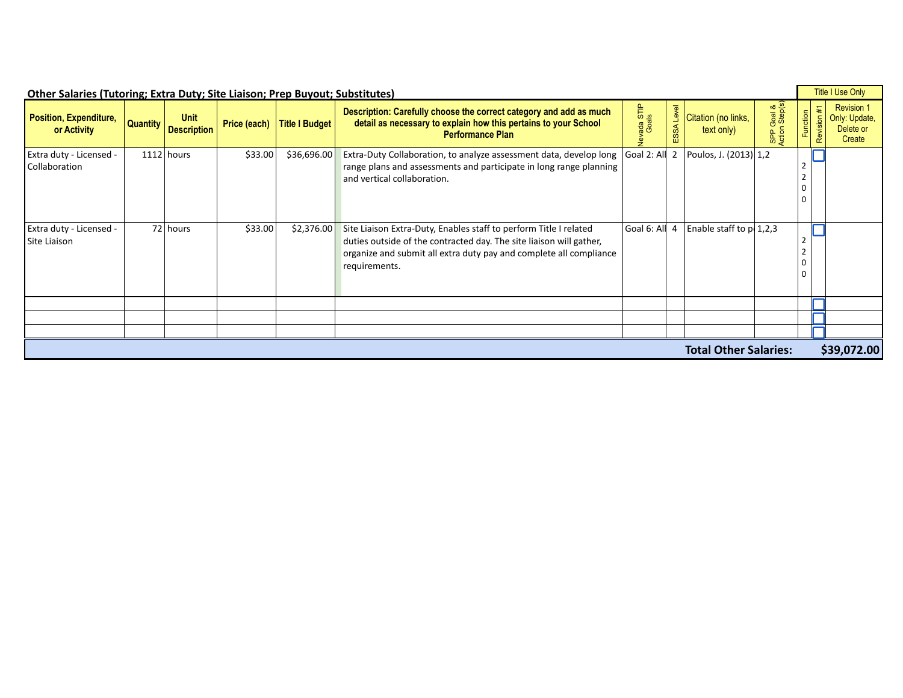|                                              |                                                  | <b>Other Salaries (Tutoring; Extra Duty; Site Liaison; Prep Buyout; Substitutes)</b> |                                                                                                                                                                                                                                            |            |                                                       | Title I Use Only                                             |
|----------------------------------------------|--------------------------------------------------|--------------------------------------------------------------------------------------|--------------------------------------------------------------------------------------------------------------------------------------------------------------------------------------------------------------------------------------------|------------|-------------------------------------------------------|--------------------------------------------------------------|
| <b>Position, Expenditure,</b><br>or Activity | Unit<br><b>Example 2016 Description No. 1999</b> | Price (each) Title I Budget                                                          | Description: Carefully choose the correct category and add as much<br>detail as necessary to explain how this pertains to your School<br><b>Performance Plan</b>                                                                           | <u>ण प</u> | Citation (no links,<br>text only)                     | Revision <sup>*</sup><br>Only: Update<br>Delete or<br>Create |
| Extra duty - Licensed -<br>Collaboration     | $1112$ hours                                     | \$33.00                                                                              | \$36,696.00 Extra-Duty Collaboration, to analyze assessment data, develop long Goal 2: Ald 2 Poulos, J. (2013) 1,2<br>range plans and assessments and participate in long range planning<br>and vertical collaboration.                    |            |                                                       |                                                              |
| Extra duty - Licensed -<br>Site Liaison      | 72 hours                                         | \$33.00                                                                              | \$2,376.00 Site Liaison Extra-Duty, Enables staff to perform Title I related<br>duties outside of the contracted day. The site liaison will gather,<br>organize and submit all extra duty pay and complete all compliance<br>requirements. |            | Goal 6: All $\overline{4}$ Enable staff to $p(1,2,3)$ |                                                              |
|                                              |                                                  |                                                                                      |                                                                                                                                                                                                                                            |            |                                                       |                                                              |
|                                              |                                                  |                                                                                      |                                                                                                                                                                                                                                            |            |                                                       |                                                              |
|                                              |                                                  |                                                                                      |                                                                                                                                                                                                                                            |            | <b>Total Other Salaries:</b>                          | \$39,072.00                                                  |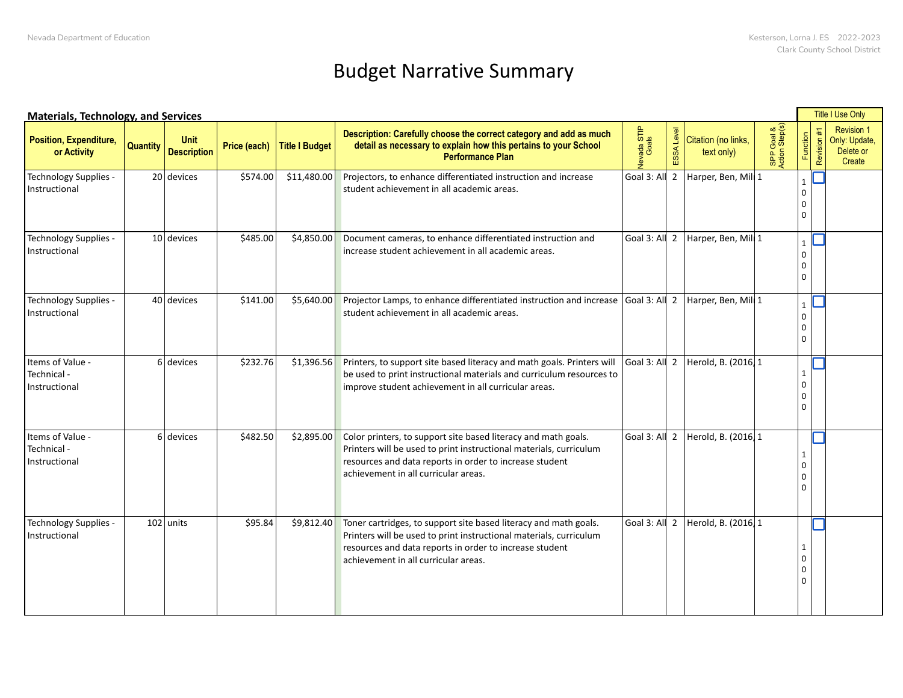## Budget Narrative Summary

| <b>Materials, Technology, and Services</b>       |                 |                                   |          |                             |                                                                                                                                                                                                                                                       |                  |                                     |                  |   | Title I Use Only                                          |
|--------------------------------------------------|-----------------|-----------------------------------|----------|-----------------------------|-------------------------------------------------------------------------------------------------------------------------------------------------------------------------------------------------------------------------------------------------------|------------------|-------------------------------------|------------------|---|-----------------------------------------------------------|
| Position, Expenditure,<br>or Activity            | <b>Quantity</b> | <b>Unit</b><br><b>Description</b> |          | Price (each) Title I Budget | Description: Carefully choose the correct category and add as much<br>detail as necessary to explain how this pertains to your School<br><b>Performance Plan</b>                                                                                      | ada STI<br>Goals | Citation (no links,<br>text only)   | Goal &<br>Step(s |   | <b>Revision 1</b><br>Only: Update,<br>Delete or<br>Create |
| Technology Supplies -<br>Instructional           |                 | $20$ devices                      |          |                             | $\vert$ \$574.00 \rightarrow \$11,480.00 \rightarrow Projectors, to enhance differentiated instruction and increase<br>student achievement in all academic areas.                                                                                     |                  | Goal 3: All 2 Harper, Ben, Mill 1   |                  |   |                                                           |
| Technology Supplies -<br>Instructional           |                 | $10$ devices                      | \$485.00 |                             | \$4,850.00 Document cameras, to enhance differentiated instruction and<br>increase student achievement in all academic areas.                                                                                                                         |                  | Goal 3: All 2 Harper, Ben, Mill 1   |                  | n |                                                           |
| Technology Supplies -<br>Instructional           |                 | $40$ devices                      | \$141.00 |                             | \$5,640.00 Projector Lamps, to enhance differentiated instruction and increase Goal 3: All 2 Harper, Ben, Mill 1<br>student achievement in all academic areas.                                                                                        |                  |                                     |                  | n |                                                           |
| Items of Value -<br>Technical -<br>Instructional |                 | $6$ devices                       | \$232.76 |                             | \$1,396.56 Printers, to support site based literacy and math goals. Printers will Goal 3: All 2   Herold, B. (2016, 1<br>be used to print instructional materials and curriculum resources to<br>improve student achievement in all curricular areas. |                  |                                     |                  |   |                                                           |
| Items of Value -<br>Technical -<br>Instructional |                 | $6$ devices                       | \$482.50 |                             | \$2,895.00 Color printers, to support site based literacy and math goals.<br>Printers will be used to print instructional materials, curriculum<br>resources and data reports in order to increase student<br>achievement in all curricular areas.    |                  | Goal 3: All 2   Herold, B. (2016, 1 |                  |   |                                                           |
| Technology Supplies -<br>Instructional           |                 | $102$ units                       | \$95.84  |                             | \$9,812.40 Toner cartridges, to support site based literacy and math goals.<br>Printers will be used to print instructional materials, curriculum<br>resources and data reports in order to increase student<br>achievement in all curricular areas.  |                  | Goal 3: All 2   Herold, B. (2016, 1 |                  |   |                                                           |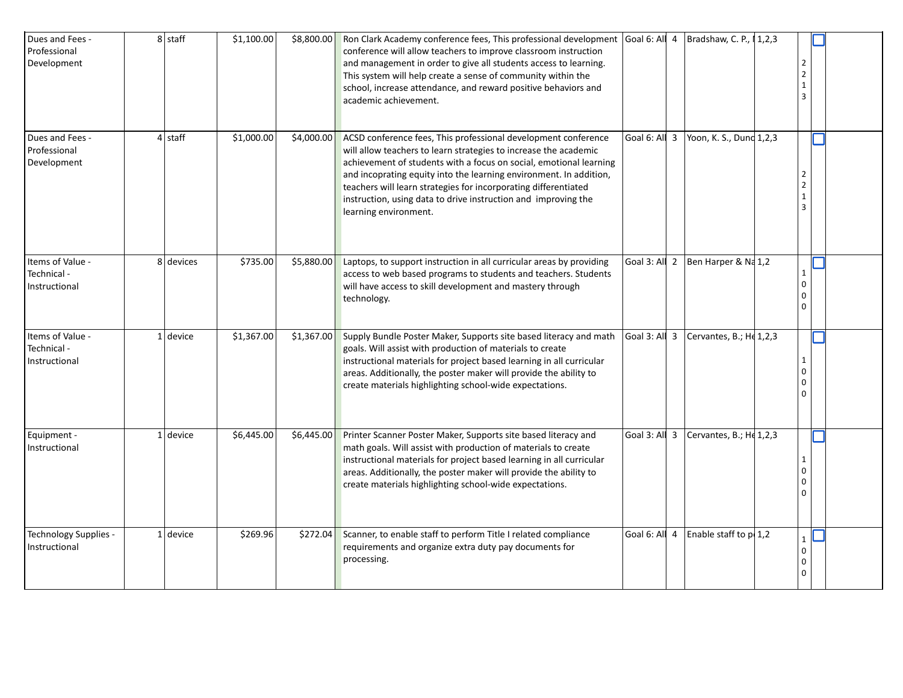| Dues and Fees -<br>Professional<br>Development   | $8$ staff  | \$1,100.00 | $\vert$ \$8,800.00 Ron Clark Academy conference fees, This professional development Goal 6: All 4   Bradshaw, C. P., 11,2,3<br>conference will allow teachers to improve classroom instruction<br>and management in order to give all students access to learning.<br>This system will help create a sense of community within the<br>school, increase attendance, and reward positive behaviors and<br>academic achievement.                           |                                                       |  |
|--------------------------------------------------|------------|------------|---------------------------------------------------------------------------------------------------------------------------------------------------------------------------------------------------------------------------------------------------------------------------------------------------------------------------------------------------------------------------------------------------------------------------------------------------------|-------------------------------------------------------|--|
| Dues and Fees -<br>Professional<br>Development   | $4$ staff  | \$1,000.00 | \$4,000.00 ACSD conference fees, This professional development conference<br>will allow teachers to learn strategies to increase the academic<br>achievement of students with a focus on social, emotional learning<br>and incoprating equity into the learning environment. In addition,<br>teachers will learn strategies for incorporating differentiated<br>instruction, using data to drive instruction and improving the<br>learning environment. | Goal 6: All $\overline{3}$ Yoon, K. S., Dunc 1,2,3    |  |
| Items of Value -<br>Technical -<br>Instructional | 8 devices  | \$735.00   | \$5,880.00 Laptops, to support instruction in all curricular areas by providing<br>access to web based programs to students and teachers. Students<br>will have access to skill development and mastery through<br>technology.                                                                                                                                                                                                                          | Goal 3: All 2   Ben Harper & Na 1,2                   |  |
| Items of Value -<br>Technical -<br>Instructional | $1$ device | \$1,367.00 | \$1,367.00 Supply Bundle Poster Maker, Supports site based literacy and math $\vert$ Goal 3: Al   3 $\vert$ Cervantes, B.; H $\vert$ 1,2,3<br>goals. Will assist with production of materials to create<br>instructional materials for project based learning in all curricular<br>areas. Additionally, the poster maker will provide the ability to<br>create materials highlighting school-wide expectations.                                         |                                                       |  |
| Equipment -<br>Instructional                     | $1$ device | \$6,445.00 | \$6,445.00 Printer Scanner Poster Maker, Supports site based literacy and<br>math goals. Will assist with production of materials to create<br>instructional materials for project based learning in all curricular<br>areas. Additionally, the poster maker will provide the ability to<br>create materials highlighting school-wide expectations.                                                                                                     | $\vert$ Goal 3: All 3 $\vert$ Cervantes, B.; He 1,2,3 |  |
| Technology Supplies -<br>Instructional           | $1$ device | \$269.96   | \$272.04 Scanner, to enable staff to perform Title I related compliance<br>requirements and organize extra duty pay documents for<br>processing.                                                                                                                                                                                                                                                                                                        | Goal 6: All $4$ Enable staff to $p(1,2)$              |  |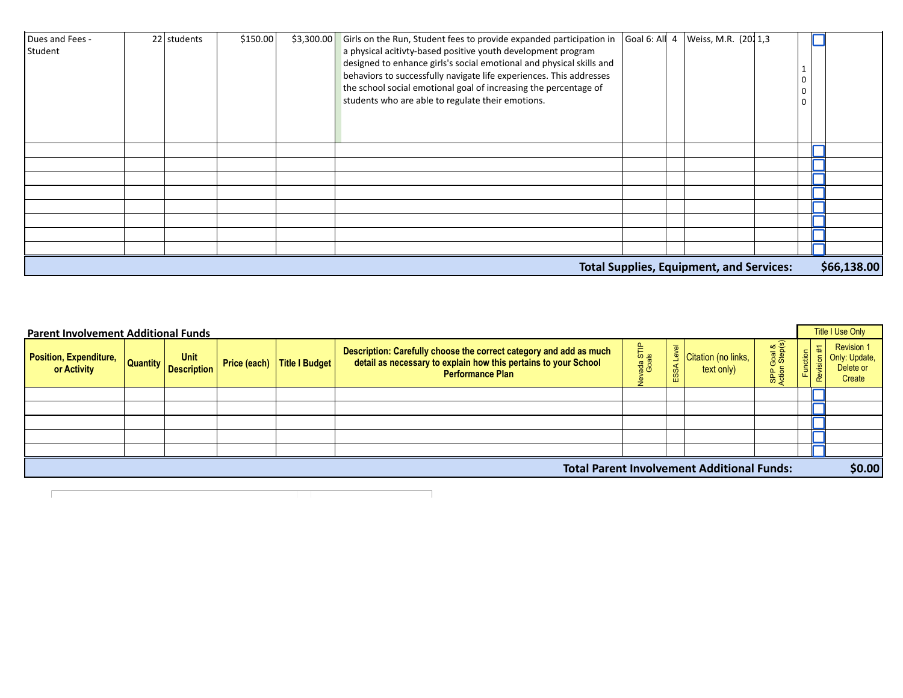| Dues and Fees - | $22$ students | \$150.00 | \$3,300.00 Girls on the Run, Student fees to provide expanded participation in Goal 6: Al $\vert$ 4 Weiss, M.R. (2011,3 |                |             |
|-----------------|---------------|----------|-------------------------------------------------------------------------------------------------------------------------|----------------|-------------|
| Student         |               |          | a physical acitivty-based positive youth development program                                                            |                |             |
|                 |               |          | designed to enhance girls's social emotional and physical skills and                                                    | l 1            |             |
|                 |               |          | behaviors to successfully navigate life experiences. This addresses                                                     | 0              |             |
|                 |               |          | the school social emotional goal of increasing the percentage of                                                        | $\overline{0}$ |             |
|                 |               |          | students who are able to regulate their emotions.                                                                       | l o            |             |
|                 |               |          |                                                                                                                         |                |             |
|                 |               |          |                                                                                                                         |                |             |
|                 |               |          |                                                                                                                         |                |             |
|                 |               |          |                                                                                                                         |                |             |
|                 |               |          |                                                                                                                         |                |             |
|                 |               |          |                                                                                                                         |                |             |
|                 |               |          |                                                                                                                         |                |             |
|                 |               |          |                                                                                                                         |                |             |
|                 |               |          |                                                                                                                         |                |             |
|                 |               |          |                                                                                                                         |                |             |
|                 |               |          |                                                                                                                         |                |             |
|                 |               |          |                                                                                                                         |                |             |
|                 |               |          | <b>Total Supplies, Equipment, and Services:</b>                                                                         |                | \$66,138.00 |

| <b>Parent Involvement Additional Funds</b>   |                                            |                               |                                                                                                                                                                  |                      |                      |                                                   |                                         |                | <b>Title I Use Only</b>                                   |
|----------------------------------------------|--------------------------------------------|-------------------------------|------------------------------------------------------------------------------------------------------------------------------------------------------------------|----------------------|----------------------|---------------------------------------------------|-----------------------------------------|----------------|-----------------------------------------------------------|
| <b>Position, Expenditure,</b><br>or Activity | <b>Unit</b><br><b>Quantity</b> Description | Price (each)   Title I Budget | Description: Carefully choose the correct category and add as much<br>detail as necessary to explain how this pertains to your School<br><b>Performance Plan</b> | Nevada STIP<br>Goals | $\omega$<br>SSA<br>ш | Citation (no links,<br>text only)                 | Goal &<br>n Step(s)<br>SPP <sub>C</sub> | Ħ.<br>Function | <b>Revision 1</b><br>Only: Update,<br>Delete or<br>Create |
|                                              |                                            |                               |                                                                                                                                                                  |                      |                      |                                                   |                                         |                |                                                           |
|                                              |                                            |                               |                                                                                                                                                                  |                      |                      |                                                   |                                         |                |                                                           |
|                                              |                                            |                               |                                                                                                                                                                  |                      |                      |                                                   |                                         |                |                                                           |
|                                              |                                            |                               |                                                                                                                                                                  |                      |                      |                                                   |                                         |                |                                                           |
|                                              |                                            |                               |                                                                                                                                                                  |                      |                      |                                                   |                                         |                |                                                           |
|                                              |                                            |                               |                                                                                                                                                                  |                      |                      | <b>Total Parent Involvement Additional Funds:</b> |                                         |                | \$0.00                                                    |
|                                              |                                            |                               |                                                                                                                                                                  |                      |                      |                                                   |                                         |                |                                                           |

٦